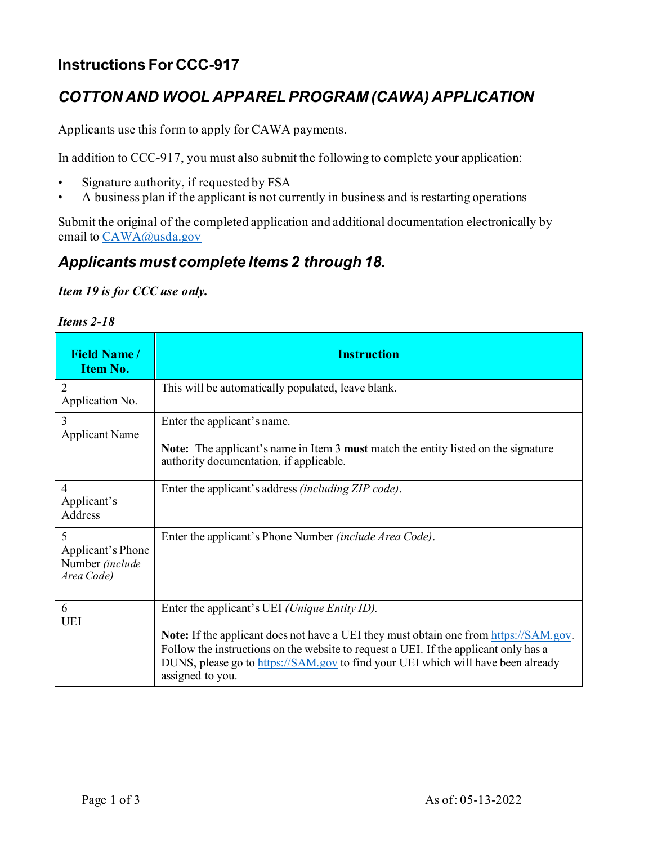## **Instructions For CCC-917**

## *COTTON AND WOOL APPAREL PROGRAM (CAWA) APPLICATION*

Applicants use this form to apply for CAWA payments.

In addition to CCC-917, you must also submit the following to complete your application:

- Signature authority, if requested by FSA
- A business plan if the applicant is not currently in business and is restarting operations

Submit the original of the completed application and additional documentation electronically by email to CAWA@usda.gov

## *Applicants must complete Items 2 through 18.*

## *Item 19 is for CCC use only.*

| <b>Items 2-18</b> |  |
|-------------------|--|
|                   |  |

| <b>Field Name/</b><br>Item No.                          | <b>Instruction</b>                                                                                                                                                                                                                                                                                                                            |
|---------------------------------------------------------|-----------------------------------------------------------------------------------------------------------------------------------------------------------------------------------------------------------------------------------------------------------------------------------------------------------------------------------------------|
| 2<br>Application No.                                    | This will be automatically populated, leave blank.                                                                                                                                                                                                                                                                                            |
| 3<br><b>Applicant Name</b>                              | Enter the applicant's name.<br><b>Note:</b> The applicant's name in Item 3 <b>must</b> match the entity listed on the signature<br>authority documentation, if applicable.                                                                                                                                                                    |
| $\overline{4}$<br>Applicant's<br>Address                | Enter the applicant's address (including ZIP code).                                                                                                                                                                                                                                                                                           |
| 5<br>Applicant's Phone<br>Number (include<br>Area Code) | Enter the applicant's Phone Number <i>(include Area Code)</i> .                                                                                                                                                                                                                                                                               |
| 6<br><b>UEI</b>                                         | Enter the applicant's UEI (Unique Entity ID).<br><b>Note:</b> If the applicant does not have a UEI they must obtain one from https://SAM.gov.<br>Follow the instructions on the website to request a UEI. If the applicant only has a<br>DUNS, please go to https://SAM.gov to find your UEI which will have been already<br>assigned to you. |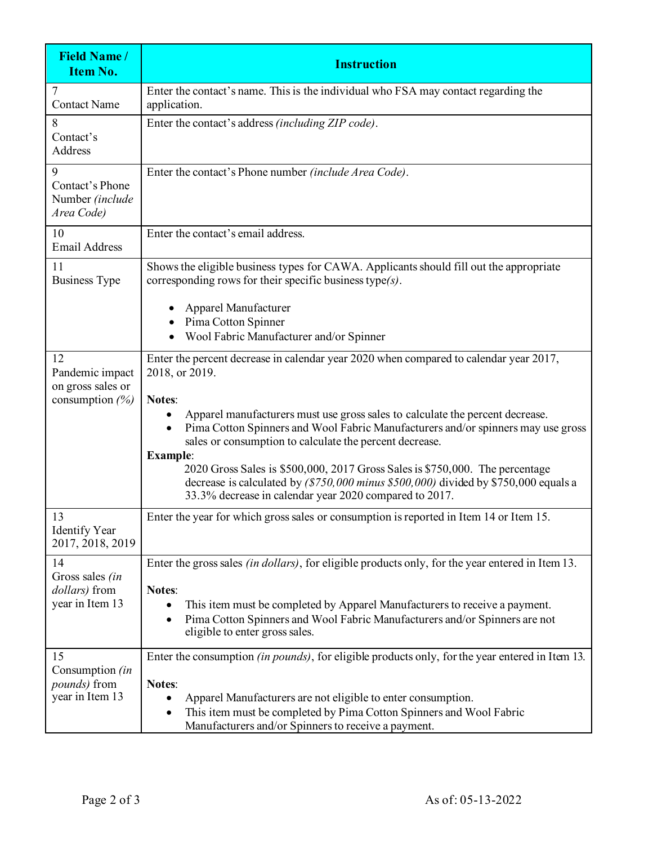| <b>Field Name/</b><br>Item No.                                   | <b>Instruction</b>                                                                                                                                                                                                                              |
|------------------------------------------------------------------|-------------------------------------------------------------------------------------------------------------------------------------------------------------------------------------------------------------------------------------------------|
| <b>Contact Name</b>                                              | Enter the contact's name. This is the individual who FSA may contact regarding the<br>application.                                                                                                                                              |
| 8<br>Contact's<br>Address                                        | Enter the contact's address (including ZIP code).                                                                                                                                                                                               |
| 9<br>Contact's Phone<br>Number (include<br>Area Code)            | Enter the contact's Phone number (include Area Code).                                                                                                                                                                                           |
| 10<br><b>Email Address</b>                                       | Enter the contact's email address.                                                                                                                                                                                                              |
| 11<br><b>Business Type</b>                                       | Shows the eligible business types for CAWA. Applicants should fill out the appropriate<br>corresponding rows for their specific business type $(s)$ .                                                                                           |
|                                                                  | Apparel Manufacturer<br>Pima Cotton Spinner<br>Wool Fabric Manufacturer and/or Spinner                                                                                                                                                          |
| 12<br>Pandemic impact<br>on gross sales or<br>consumption $(\%)$ | Enter the percent decrease in calendar year 2020 when compared to calendar year 2017,<br>2018, or 2019.<br><b>Notes:</b>                                                                                                                        |
|                                                                  | Apparel manufacturers must use gross sales to calculate the percent decrease.<br>Pima Cotton Spinners and Wool Fabric Manufacturers and/or spinners may use gross<br>sales or consumption to calculate the percent decrease.<br><b>Example:</b> |
|                                                                  | 2020 Gross Sales is \$500,000, 2017 Gross Sales is \$750,000. The percentage<br>decrease is calculated by $($750,000$ minus \$500,000) divided by \$750,000 equals a<br>33.3% decrease in calendar year 2020 compared to 2017.                  |
| 13<br><b>Identify Year</b><br>2017, 2018, 2019                   | Enter the year for which gross sales or consumption is reported in Item 14 or Item 15.                                                                                                                                                          |
| 14<br>Gross sales (in<br>dollars) from                           | Enter the gross sales <i>(in dollars)</i> , for eligible products only, for the year entered in Item 13.<br><b>Notes:</b>                                                                                                                       |
| year in Item 13                                                  | This item must be completed by Apparel Manufacturers to receive a payment.<br>Pima Cotton Spinners and Wool Fabric Manufacturers and/or Spinners are not<br>eligible to enter gross sales.                                                      |
| 15<br>Consumption (in<br><i>pounds</i> ) from                    | Enter the consumption (in pounds), for eligible products only, for the year entered in Item 13.<br><b>Notes:</b>                                                                                                                                |
| year in Item 13                                                  | Apparel Manufacturers are not eligible to enter consumption.<br>This item must be completed by Pima Cotton Spinners and Wool Fabric<br>Manufacturers and/or Spinners to receive a payment.                                                      |